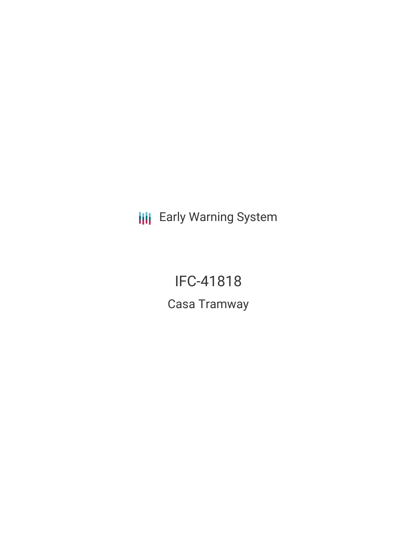**III** Early Warning System

IFC-41818 Casa Tramway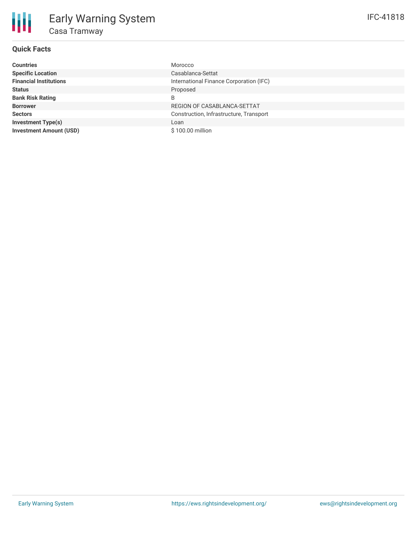# **Quick Facts**

| <b>Countries</b>               | Morocco                                 |
|--------------------------------|-----------------------------------------|
| <b>Specific Location</b>       | Casablanca-Settat                       |
| <b>Financial Institutions</b>  | International Finance Corporation (IFC) |
| <b>Status</b>                  | Proposed                                |
| <b>Bank Risk Rating</b>        | B                                       |
| <b>Borrower</b>                | REGION OF CASABLANCA-SETTAT             |
| <b>Sectors</b>                 | Construction, Infrastructure, Transport |
| <b>Investment Type(s)</b>      | Loan                                    |
| <b>Investment Amount (USD)</b> | $$100.00$ million                       |
|                                |                                         |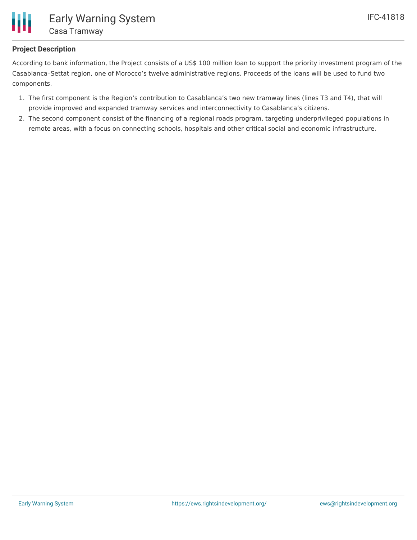

# **Project Description**

According to bank information, the Project consists of a US\$ 100 million loan to support the priority investment program of the Casablanca–Settat region, one of Morocco's twelve administrative regions. Proceeds of the loans will be used to fund two components.

- 1. The first component is the Region's contribution to Casablanca's two new tramway lines (lines T3 and T4), that will provide improved and expanded tramway services and interconnectivity to Casablanca's citizens.
- 2. The second component consist of the financing of a regional roads program, targeting underprivileged populations in remote areas, with a focus on connecting schools, hospitals and other critical social and economic infrastructure.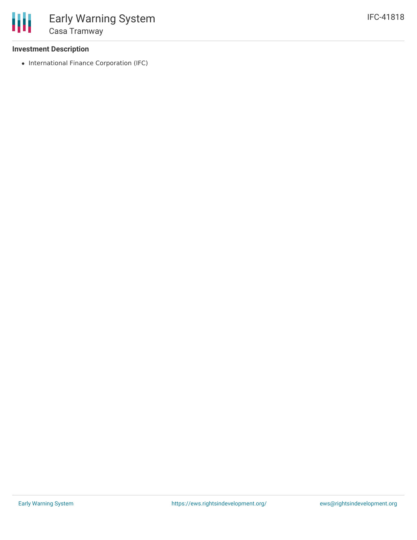## **Investment Description**

• International Finance Corporation (IFC)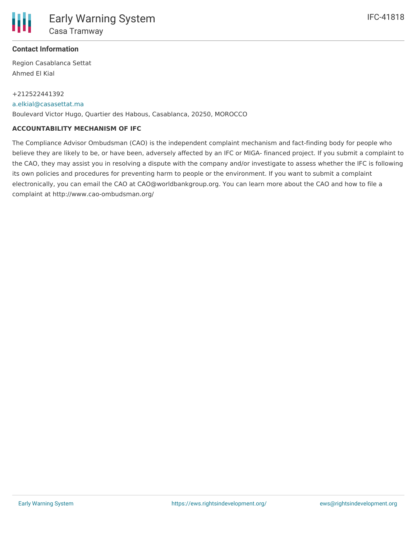

## **Contact Information**

Region Casablanca Settat Ahmed El Kial

### +212522441392

#### [a.elkial@casasettat.ma](mailto:a.elkial@casasettat.ma)

Boulevard Victor Hugo, Quartier des Habous, Casablanca, 20250, MOROCCO

### **ACCOUNTABILITY MECHANISM OF IFC**

The Compliance Advisor Ombudsman (CAO) is the independent complaint mechanism and fact-finding body for people who believe they are likely to be, or have been, adversely affected by an IFC or MIGA- financed project. If you submit a complaint to the CAO, they may assist you in resolving a dispute with the company and/or investigate to assess whether the IFC is following its own policies and procedures for preventing harm to people or the environment. If you want to submit a complaint electronically, you can email the CAO at CAO@worldbankgroup.org. You can learn more about the CAO and how to file a complaint at http://www.cao-ombudsman.org/